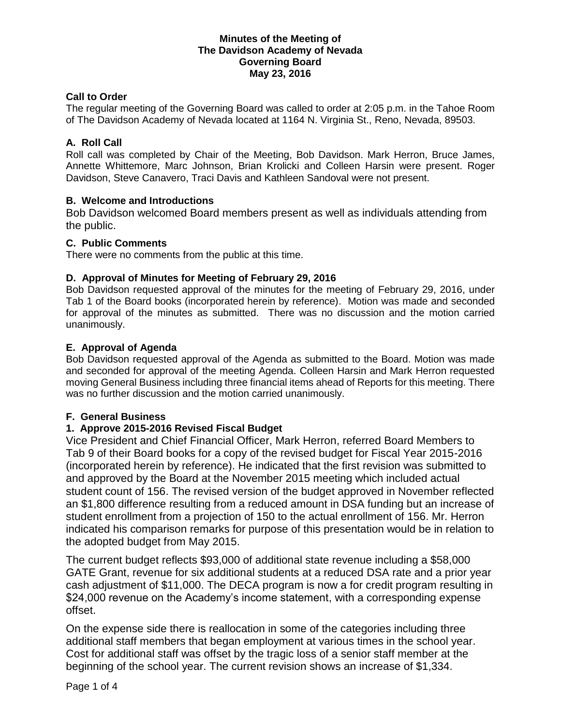#### **Minutes of the Meeting of The Davidson Academy of Nevada Governing Board May 23, 2016**

### **Call to Order**

The regular meeting of the Governing Board was called to order at 2:05 p.m. in the Tahoe Room of The Davidson Academy of Nevada located at 1164 N. Virginia St., Reno, Nevada, 89503.

### **A. Roll Call**

Roll call was completed by Chair of the Meeting, Bob Davidson. Mark Herron, Bruce James, Annette Whittemore, Marc Johnson, Brian Krolicki and Colleen Harsin were present. Roger Davidson, Steve Canavero, Traci Davis and Kathleen Sandoval were not present.

#### **B. Welcome and Introductions**

Bob Davidson welcomed Board members present as well as individuals attending from the public.

#### **C. Public Comments**

There were no comments from the public at this time.

## **D. Approval of Minutes for Meeting of February 29, 2016**

Bob Davidson requested approval of the minutes for the meeting of February 29, 2016, under Tab 1 of the Board books (incorporated herein by reference). Motion was made and seconded for approval of the minutes as submitted. There was no discussion and the motion carried unanimously.

## **E. Approval of Agenda**

Bob Davidson requested approval of the Agenda as submitted to the Board. Motion was made and seconded for approval of the meeting Agenda. Colleen Harsin and Mark Herron requested moving General Business including three financial items ahead of Reports for this meeting. There was no further discussion and the motion carried unanimously.

#### **F. General Business**

# **1. Approve 2015-2016 Revised Fiscal Budget**

Vice President and Chief Financial Officer, Mark Herron, referred Board Members to Tab 9 of their Board books for a copy of the revised budget for Fiscal Year 2015-2016 (incorporated herein by reference). He indicated that the first revision was submitted to and approved by the Board at the November 2015 meeting which included actual student count of 156. The revised version of the budget approved in November reflected an \$1,800 difference resulting from a reduced amount in DSA funding but an increase of student enrollment from a projection of 150 to the actual enrollment of 156. Mr. Herron indicated his comparison remarks for purpose of this presentation would be in relation to the adopted budget from May 2015.

The current budget reflects \$93,000 of additional state revenue including a \$58,000 GATE Grant, revenue for six additional students at a reduced DSA rate and a prior year cash adjustment of \$11,000. The DECA program is now a for credit program resulting in \$24,000 revenue on the Academy's income statement, with a corresponding expense offset.

On the expense side there is reallocation in some of the categories including three additional staff members that began employment at various times in the school year. Cost for additional staff was offset by the tragic loss of a senior staff member at the beginning of the school year. The current revision shows an increase of \$1,334.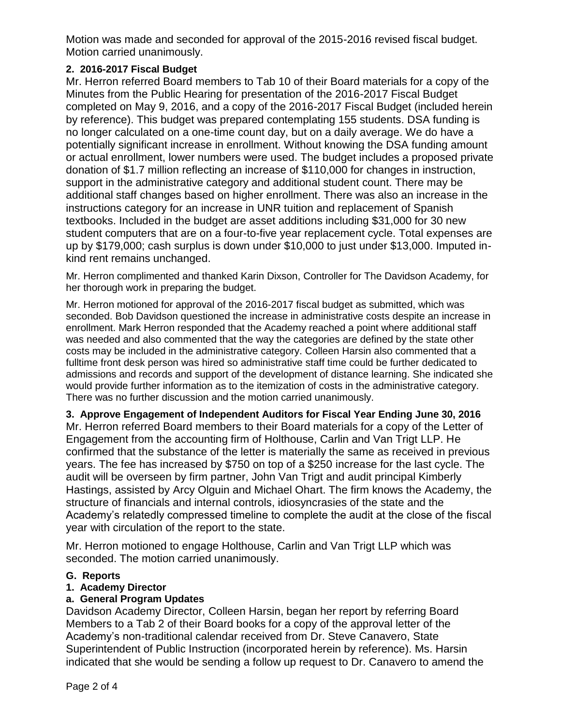Motion was made and seconded for approval of the 2015-2016 revised fiscal budget. Motion carried unanimously.

# **2. 2016-2017 Fiscal Budget**

Mr. Herron referred Board members to Tab 10 of their Board materials for a copy of the Minutes from the Public Hearing for presentation of the 2016-2017 Fiscal Budget completed on May 9, 2016, and a copy of the 2016-2017 Fiscal Budget (included herein by reference). This budget was prepared contemplating 155 students. DSA funding is no longer calculated on a one-time count day, but on a daily average. We do have a potentially significant increase in enrollment. Without knowing the DSA funding amount or actual enrollment, lower numbers were used. The budget includes a proposed private donation of \$1.7 million reflecting an increase of \$110,000 for changes in instruction, support in the administrative category and additional student count. There may be additional staff changes based on higher enrollment. There was also an increase in the instructions category for an increase in UNR tuition and replacement of Spanish textbooks. Included in the budget are asset additions including \$31,000 for 30 new student computers that are on a four-to-five year replacement cycle. Total expenses are up by \$179,000; cash surplus is down under \$10,000 to just under \$13,000. Imputed inkind rent remains unchanged.

Mr. Herron complimented and thanked Karin Dixson, Controller for The Davidson Academy, for her thorough work in preparing the budget.

Mr. Herron motioned for approval of the 2016-2017 fiscal budget as submitted, which was seconded. Bob Davidson questioned the increase in administrative costs despite an increase in enrollment. Mark Herron responded that the Academy reached a point where additional staff was needed and also commented that the way the categories are defined by the state other costs may be included in the administrative category. Colleen Harsin also commented that a fulltime front desk person was hired so administrative staff time could be further dedicated to admissions and records and support of the development of distance learning. She indicated she would provide further information as to the itemization of costs in the administrative category. There was no further discussion and the motion carried unanimously.

**3. Approve Engagement of Independent Auditors for Fiscal Year Ending June 30, 2016** Mr. Herron referred Board members to their Board materials for a copy of the Letter of Engagement from the accounting firm of Holthouse, Carlin and Van Trigt LLP. He confirmed that the substance of the letter is materially the same as received in previous years. The fee has increased by \$750 on top of a \$250 increase for the last cycle. The audit will be overseen by firm partner, John Van Trigt and audit principal Kimberly Hastings, assisted by Arcy Olguin and Michael Ohart. The firm knows the Academy, the structure of financials and internal controls, idiosyncrasies of the state and the Academy's relatedly compressed timeline to complete the audit at the close of the fiscal year with circulation of the report to the state.

Mr. Herron motioned to engage Holthouse, Carlin and Van Trigt LLP which was seconded. The motion carried unanimously.

# **G. Reports**

# **1. Academy Director**

# **a. General Program Updates**

Davidson Academy Director, Colleen Harsin, began her report by referring Board Members to a Tab 2 of their Board books for a copy of the approval letter of the Academy's non-traditional calendar received from Dr. Steve Canavero, State Superintendent of Public Instruction (incorporated herein by reference). Ms. Harsin indicated that she would be sending a follow up request to Dr. Canavero to amend the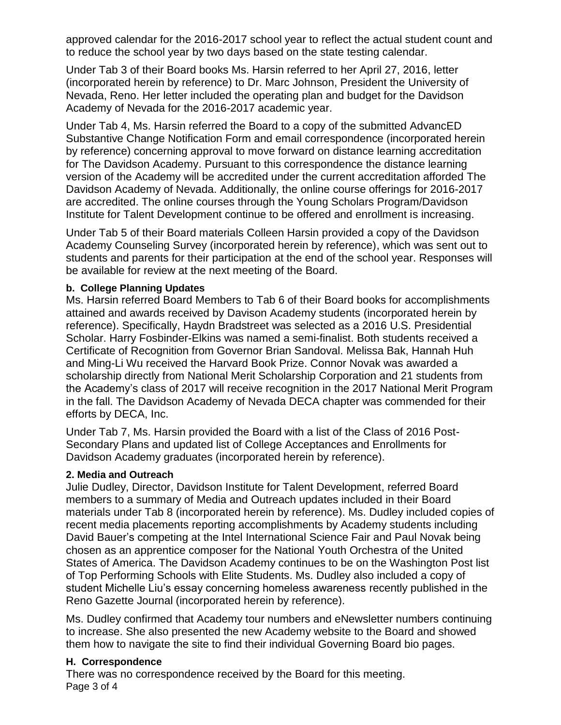approved calendar for the 2016-2017 school year to reflect the actual student count and to reduce the school year by two days based on the state testing calendar.

Under Tab 3 of their Board books Ms. Harsin referred to her April 27, 2016, letter (incorporated herein by reference) to Dr. Marc Johnson, President the University of Nevada, Reno. Her letter included the operating plan and budget for the Davidson Academy of Nevada for the 2016-2017 academic year.

Under Tab 4, Ms. Harsin referred the Board to a copy of the submitted AdvancED Substantive Change Notification Form and email correspondence (incorporated herein by reference) concerning approval to move forward on distance learning accreditation for The Davidson Academy. Pursuant to this correspondence the distance learning version of the Academy will be accredited under the current accreditation afforded The Davidson Academy of Nevada. Additionally, the online course offerings for 2016-2017 are accredited. The online courses through the Young Scholars Program/Davidson Institute for Talent Development continue to be offered and enrollment is increasing.

Under Tab 5 of their Board materials Colleen Harsin provided a copy of the Davidson Academy Counseling Survey (incorporated herein by reference), which was sent out to students and parents for their participation at the end of the school year. Responses will be available for review at the next meeting of the Board.

## **b. College Planning Updates**

Ms. Harsin referred Board Members to Tab 6 of their Board books for accomplishments attained and awards received by Davison Academy students (incorporated herein by reference). Specifically, Haydn Bradstreet was selected as a 2016 U.S. Presidential Scholar. Harry Fosbinder-Elkins was named a semi-finalist. Both students received a Certificate of Recognition from Governor Brian Sandoval. Melissa Bak, Hannah Huh and Ming-Li Wu received the Harvard Book Prize. Connor Novak was awarded a scholarship directly from National Merit Scholarship Corporation and 21 students from the Academy's class of 2017 will receive recognition in the 2017 National Merit Program in the fall. The Davidson Academy of Nevada DECA chapter was commended for their efforts by DECA, Inc.

Under Tab 7, Ms. Harsin provided the Board with a list of the Class of 2016 Post-Secondary Plans and updated list of College Acceptances and Enrollments for Davidson Academy graduates (incorporated herein by reference).

# **2. Media and Outreach**

Julie Dudley, Director, Davidson Institute for Talent Development, referred Board members to a summary of Media and Outreach updates included in their Board materials under Tab 8 (incorporated herein by reference). Ms. Dudley included copies of recent media placements reporting accomplishments by Academy students including David Bauer's competing at the Intel International Science Fair and Paul Novak being chosen as an apprentice composer for the National Youth Orchestra of the United States of America. The Davidson Academy continues to be on the Washington Post list of Top Performing Schools with Elite Students. Ms. Dudley also included a copy of student Michelle Liu's essay concerning homeless awareness recently published in the Reno Gazette Journal (incorporated herein by reference).

Ms. Dudley confirmed that Academy tour numbers and eNewsletter numbers continuing to increase. She also presented the new Academy website to the Board and showed them how to navigate the site to find their individual Governing Board bio pages.

# **H. Correspondence**

Page 3 of 4 There was no correspondence received by the Board for this meeting.